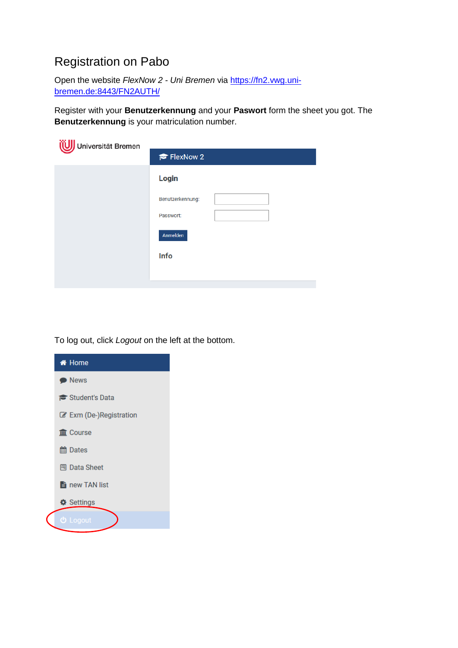# Registration on Pabo

Open the website *FlexNow 2 - Uni Bremen* via https://fn2.vwg.unibremen.de:8443/FN2AUTH/

Register with your **Benutzerkennung** and your **Paswort** form the sheet you got. The **Benutzerkennung** is your matriculation number.

| Universität Bremen |                  |
|--------------------|------------------|
|                    | FlexNow 2        |
|                    | Login            |
|                    | Benutzerkennung: |
|                    | Passwort:        |
|                    | Anmelden         |
|                    | Info             |
|                    |                  |
|                    |                  |

To log out, click *Logout* on the left at the bottom.

| <b>M</b> Home                     |
|-----------------------------------|
| • News                            |
| Student's Data                    |
| Exm (De-)Registration             |
| mm Course                         |
| <b>■ Dates</b>                    |
| <b>鬥 Data Sheet</b>               |
| $\frac{1}{2}$ new TAN list        |
| <b><math>\Phi</math></b> Settings |
| <b>む</b> Logout                   |
|                                   |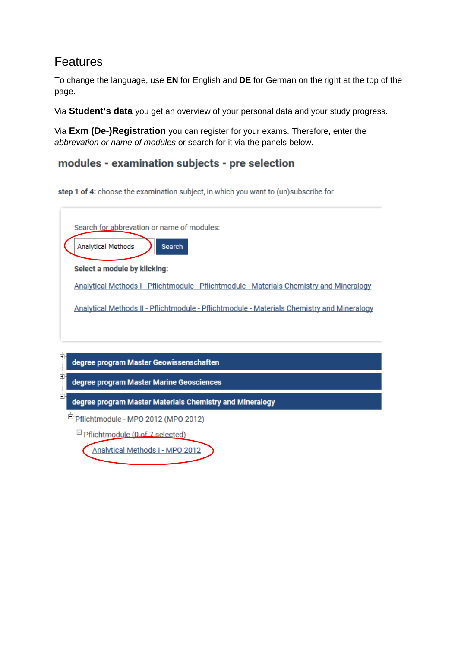## Features

To change the language, use **EN** for English and **DE** for German on the right at the top of the page.

Via **Student's data** you get an overview of your personal data and your study progress.

Via **Exm (De-)Registration** you can register for your exams. Therefore, enter the *abbrevation or name of modules* or search for it via the panels below.

#### modules - examination subjects - pre selection

step 1 of 4: choose the examination subject, in which you want to (un)subscribe for



Pflichtmodule - MPO 2012 (MPO 2012)

 $\Box$  Pflichtmodule (0 of 7 selected)

Analytical Methods I - MPO 2012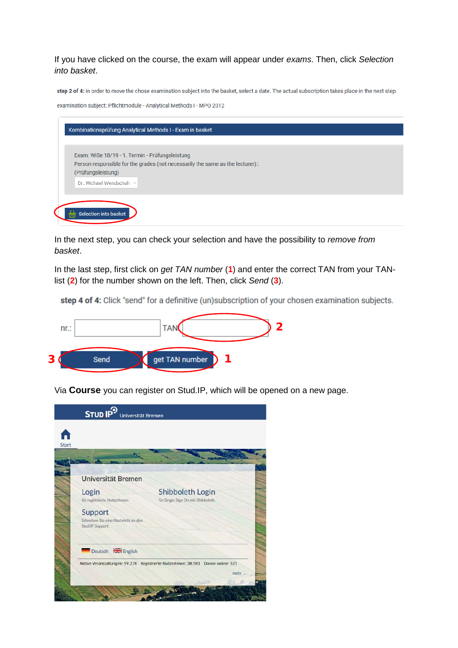If you have clicked on the course, the exam will appear under *exams*. Then, click *Selection into basket*.

step 2 of 4: in order to move the chose examination subject into the basket, select a date. The actual subscription takes place in the next step.

examination subject: Pflichtmodule - Analytical Methods I - MPO 2012

|                         | Exam: WiSe 18/19 - 1. Termin - Prüfungsleistung |                                                                                |  |
|-------------------------|-------------------------------------------------|--------------------------------------------------------------------------------|--|
|                         |                                                 | Person responsible for the grades (not necessarily the same as the lecturer):: |  |
| (Prüfungsleistung)      |                                                 |                                                                                |  |
| Dr. Michael Wendschuh ~ |                                                 |                                                                                |  |
|                         |                                                 |                                                                                |  |

In the next step, you can check your selection and have the possibility to *remove from basket*.

In the last step, first click on *get TAN number* (**1**) and enter the correct TAN from your TANlist (**2**) for the number shown on the left. Then, click *Send* (**3**).

step 4 of 4: Click "send" for a definitive (un)subscription of your chosen examination subjects.



Via **Course** you can register on Stud.IP, which will be opened on a new page.